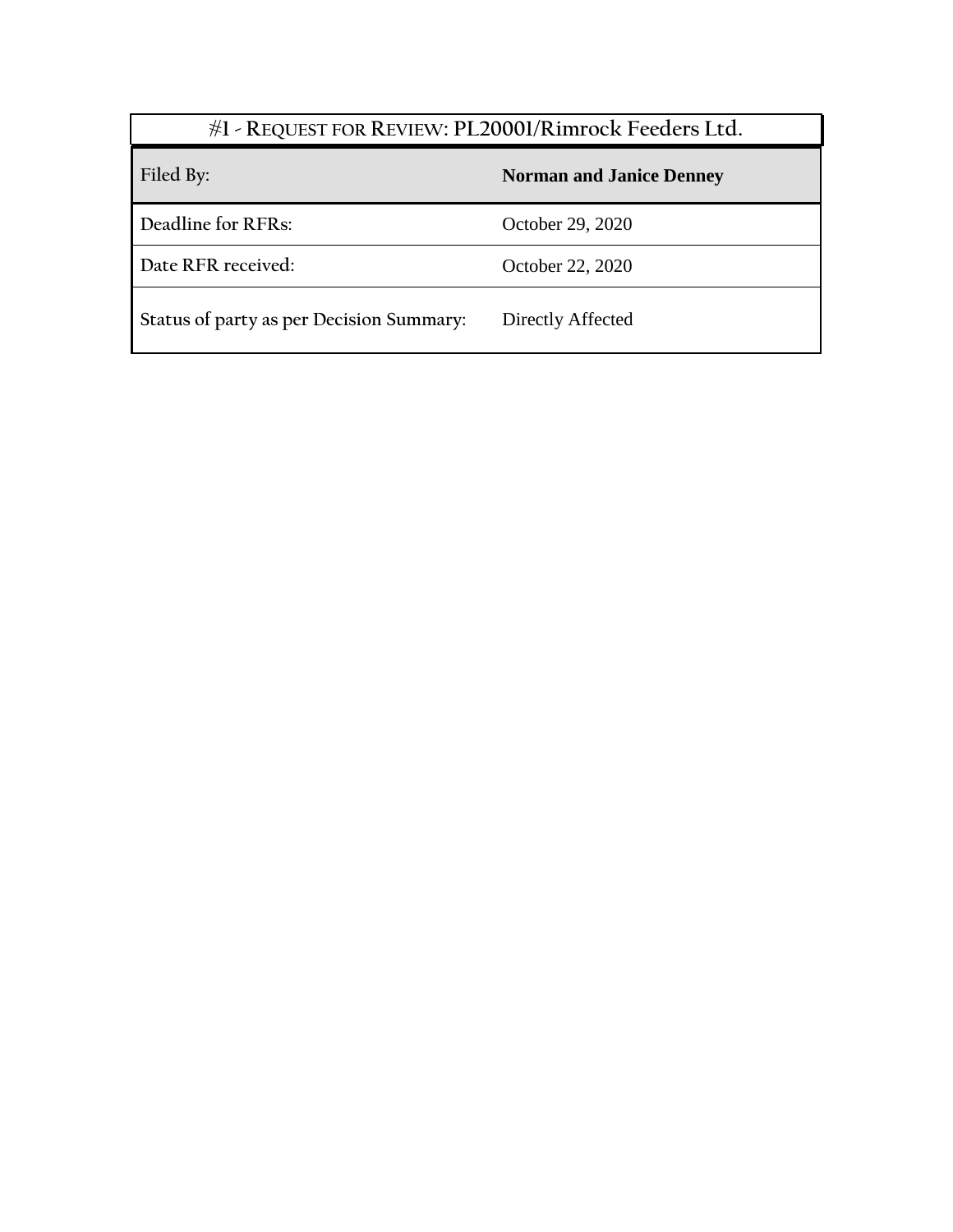| #1 - REQUEST FOR REVIEW: PL20001/Rimrock Feeders Ltd. |                                 |
|-------------------------------------------------------|---------------------------------|
| Filed By:                                             | <b>Norman and Janice Denney</b> |
| Deadline for RFRs:                                    | October 29, 2020                |
| Date RFR received:                                    | October 22, 2020                |
| Status of party as per Decision Summary:              | Directly Affected               |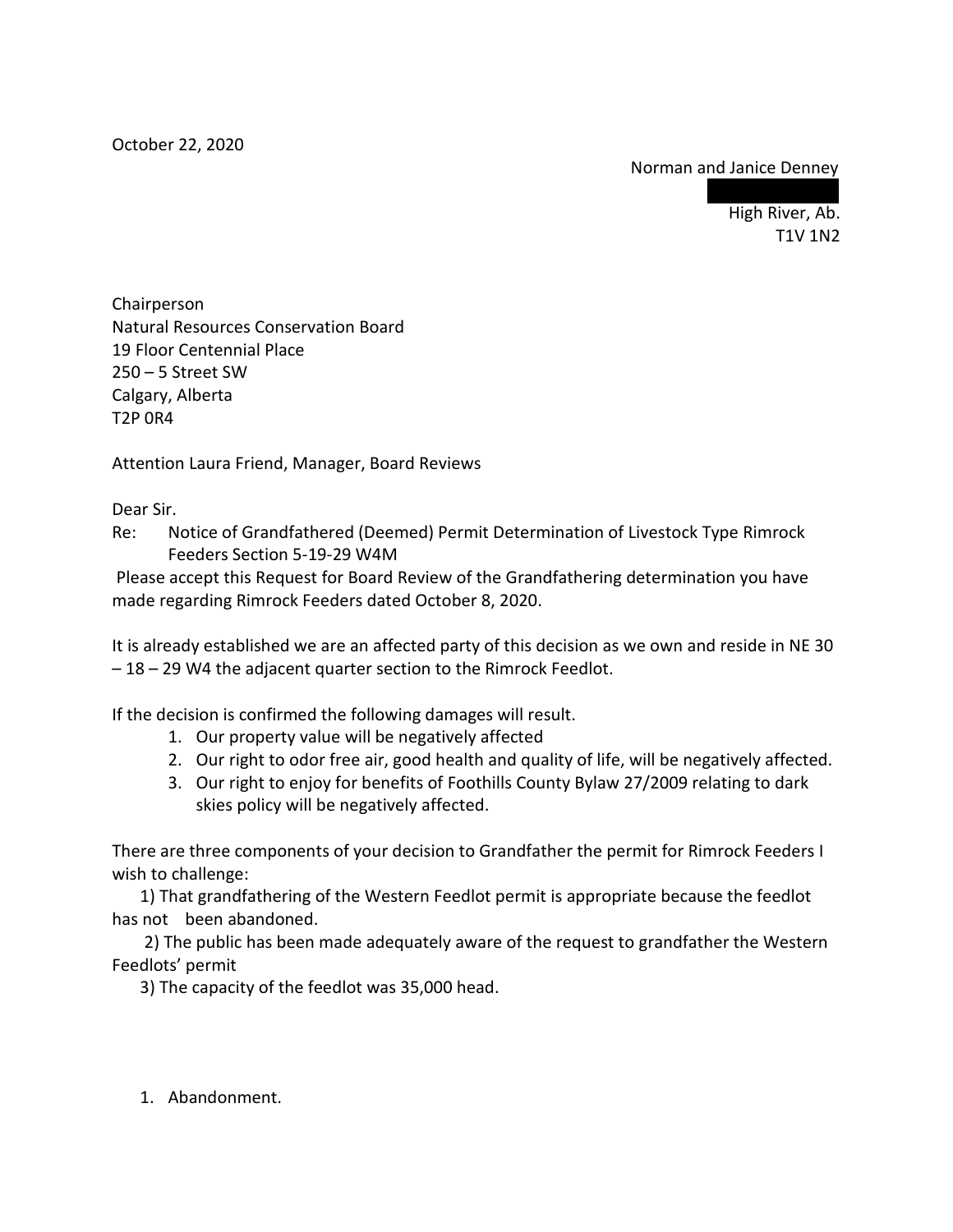## Norman and Janice Denney

High River, Ab. T1V 1N2

Chairperson Natural Resources Conservation Board 19 Floor Centennial Place 250 – 5 Street SW Calgary, Alberta T2P 0R4

Attention Laura Friend, Manager, Board Reviews

Dear Sir.

Re: Notice of Grandfathered (Deemed) Permit Determination of Livestock Type Rimrock Feeders Section 5-19-29 W4M

Please accept this Request for Board Review of the Grandfathering determination you have made regarding Rimrock Feeders dated October 8, 2020.

It is already established we are an affected party of this decision as we own and reside in NE 30 – 18 – 29 W4 the adjacent quarter section to the Rimrock Feedlot.

If the decision is confirmed the following damages will result.

- 1. Our property value will be negatively affected
- 2. Our right to odor free air, good health and quality of life, will be negatively affected.
- 3. Our right to enjoy for benefits of Foothills County Bylaw 27/2009 relating to dark skies policy will be negatively affected.

There are three components of your decision to Grandfather the permit for Rimrock Feeders I wish to challenge:

1) That grandfathering of the Western Feedlot permit is appropriate because the feedlot has not been abandoned.

 2) The public has been made adequately aware of the request to grandfather the Western Feedlots' permit

3) The capacity of the feedlot was 35,000 head.

1. Abandonment.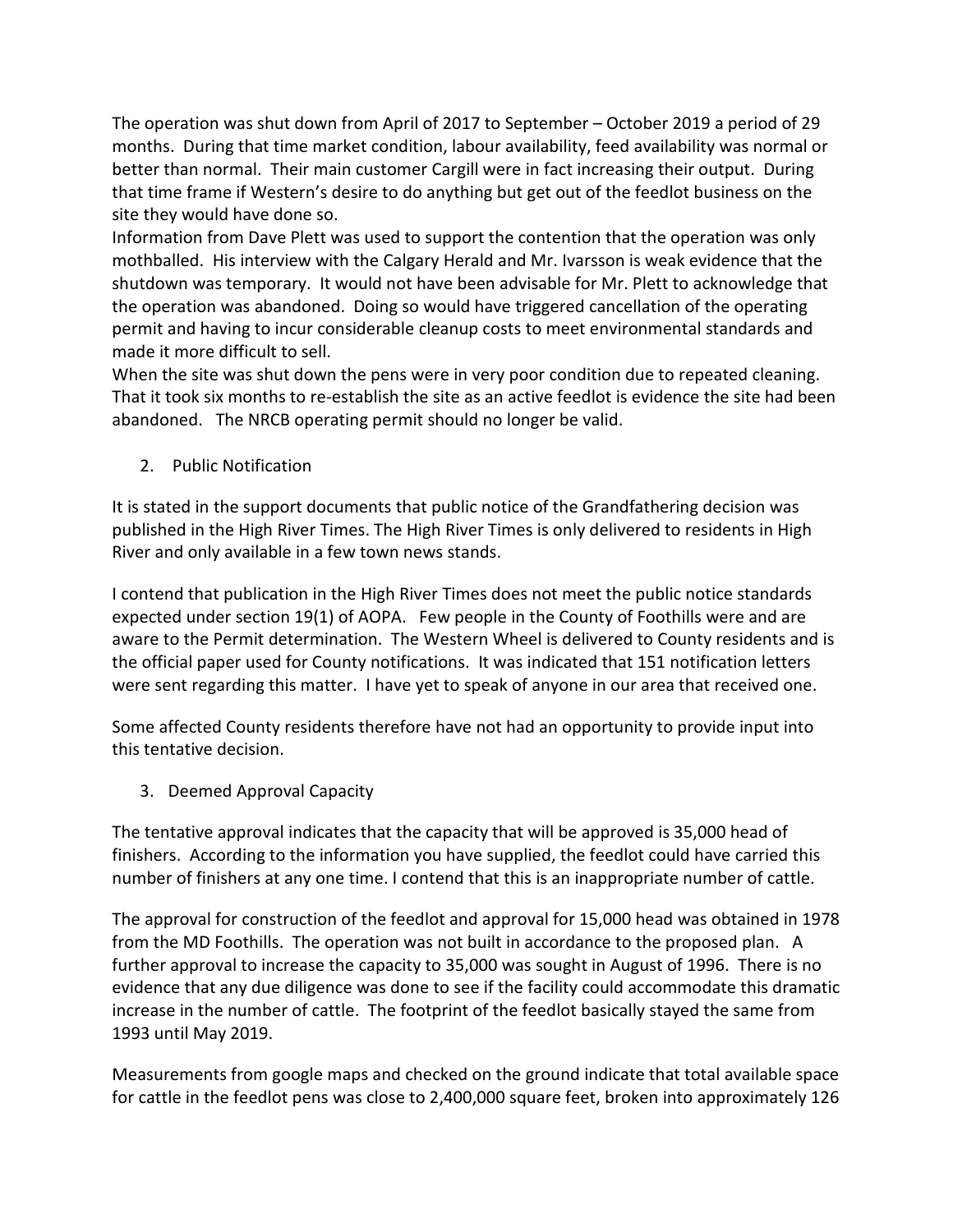The operation was shut down from April of 2017 to September – October 2019 a period of 29 months. During that time market condition, labour availability, feed availability was normal or better than normal. Their main customer Cargill were in fact increasing their output. During that time frame if Western's desire to do anything but get out of the feedlot business on the site they would have done so.

Information from Dave Plett was used to support the contention that the operation was only mothballed. His interview with the Calgary Herald and Mr. Ivarsson is weak evidence that the shutdown was temporary. It would not have been advisable for Mr. Plett to acknowledge that the operation was abandoned. Doing so would have triggered cancellation of the operating permit and having to incur considerable cleanup costs to meet environmental standards and made it more difficult to sell.

When the site was shut down the pens were in very poor condition due to repeated cleaning. That it took six months to re-establish the site as an active feedlot is evidence the site had been abandoned. The NRCB operating permit should no longer be valid.

2. Public Notification

It is stated in the support documents that public notice of the Grandfathering decision was published in the High River Times. The High River Times is only delivered to residents in High River and only available in a few town news stands.

I contend that publication in the High River Times does not meet the public notice standards expected under section 19(1) of AOPA. Few people in the County of Foothills were and are aware to the Permit determination. The Western Wheel is delivered to County residents and is the official paper used for County notifications. It was indicated that 151 notification letters were sent regarding this matter. I have yet to speak of anyone in our area that received one.

Some affected County residents therefore have not had an opportunity to provide input into this tentative decision.

3. Deemed Approval Capacity

The tentative approval indicates that the capacity that will be approved is 35,000 head of finishers. According to the information you have supplied, the feedlot could have carried this number of finishers at any one time. I contend that this is an inappropriate number of cattle.

The approval for construction of the feedlot and approval for 15,000 head was obtained in 1978 from the MD Foothills. The operation was not built in accordance to the proposed plan. A further approval to increase the capacity to 35,000 was sought in August of 1996. There is no evidence that any due diligence was done to see if the facility could accommodate this dramatic increase in the number of cattle. The footprint of the feedlot basically stayed the same from 1993 until May 2019.

Measurements from google maps and checked on the ground indicate that total available space for cattle in the feedlot pens was close to 2,400,000 square feet, broken into approximately 126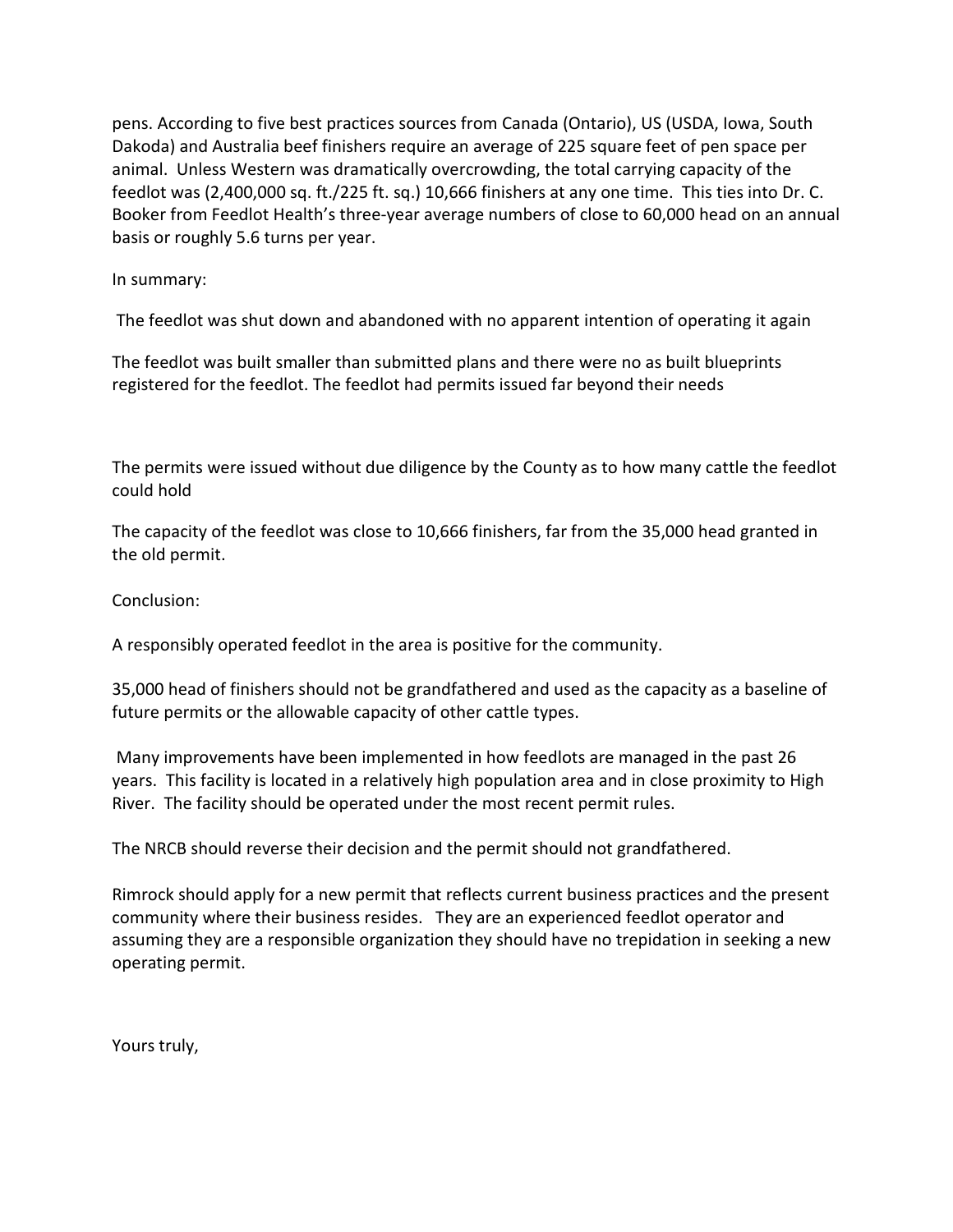pens. According to five best practices sources from Canada (Ontario), US (USDA, Iowa, South Dakoda) and Australia beef finishers require an average of 225 square feet of pen space per animal. Unless Western was dramatically overcrowding, the total carrying capacity of the feedlot was (2,400,000 sq. ft./225 ft. sq.) 10,666 finishers at any one time. This ties into Dr. C. Booker from Feedlot Health's three-year average numbers of close to 60,000 head on an annual basis or roughly 5.6 turns per year.

## In summary:

The feedlot was shut down and abandoned with no apparent intention of operating it again

The feedlot was built smaller than submitted plans and there were no as built blueprints registered for the feedlot. The feedlot had permits issued far beyond their needs

The permits were issued without due diligence by the County as to how many cattle the feedlot could hold

The capacity of the feedlot was close to 10,666 finishers, far from the 35,000 head granted in the old permit.

Conclusion:

A responsibly operated feedlot in the area is positive for the community.

35,000 head of finishers should not be grandfathered and used as the capacity as a baseline of future permits or the allowable capacity of other cattle types.

Many improvements have been implemented in how feedlots are managed in the past 26 years. This facility is located in a relatively high population area and in close proximity to High River. The facility should be operated under the most recent permit rules.

The NRCB should reverse their decision and the permit should not grandfathered.

Rimrock should apply for a new permit that reflects current business practices and the present community where their business resides. They are an experienced feedlot operator and assuming they are a responsible organization they should have no trepidation in seeking a new operating permit.

Yours truly,